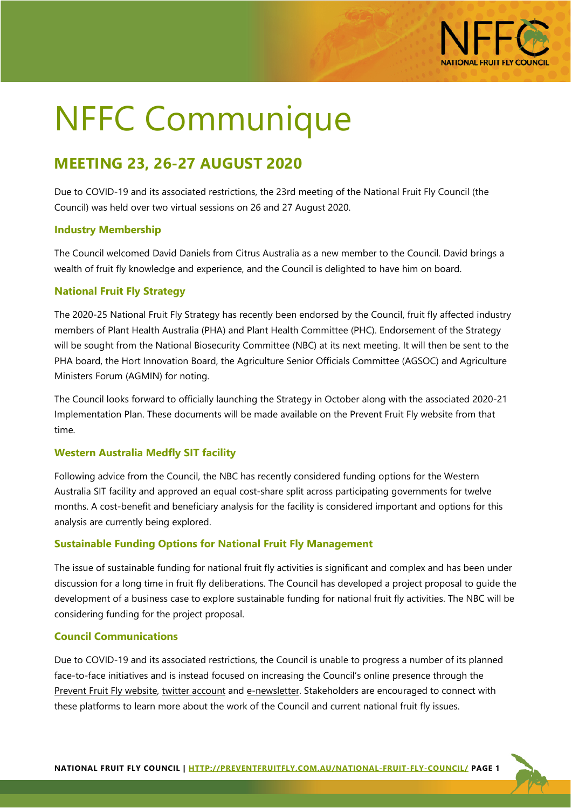

# NFFC Communique

# **MEETING 23, 26-27 AUGUST 2020**

Due to COVID-19 and its associated restrictions, the 23rd meeting of the National Fruit Fly Council (the Council) was held over two virtual sessions on 26 and 27 August 2020.

## **Industry Membership**

The Council welcomed David Daniels from Citrus Australia as a new member to the Council. David brings a wealth of fruit fly knowledge and experience, and the Council is delighted to have him on board.

## **National Fruit Fly Strategy**

The 2020-25 National Fruit Fly Strategy has recently been endorsed by the Council, fruit fly affected industry members of Plant Health Australia (PHA) and Plant Health Committee (PHC). Endorsement of the Strategy will be sought from the National Biosecurity Committee (NBC) at its next meeting. It will then be sent to the PHA board, the Hort Innovation Board, the Agriculture Senior Officials Committee (AGSOC) and Agriculture Ministers Forum (AGMIN) for noting.

The Council looks forward to officially launching the Strategy in October along with the associated 2020-21 Implementation Plan. These documents will be made available on the Prevent Fruit Fly website from that time.

## **Western Australia Medfly SIT facility**

Following advice from the Council, the NBC has recently considered funding options for the Western Australia SIT facility and approved an equal cost-share split across participating governments for twelve months. A cost-benefit and beneficiary analysis for the facility is considered important and options for this analysis are currently being explored.

## **Sustainable Funding Options for National Fruit Fly Management**

The issue of sustainable funding for national fruit fly activities is significant and complex and has been under discussion for a long time in fruit fly deliberations. The Council has developed a project proposal to guide the development of a business case to explore sustainable funding for national fruit fly activities. The NBC will be considering funding for the project proposal.

#### **Council Communications**

Due to COVID-19 and its associated restrictions, the Council is unable to progress a number of its planned face-to-face initiatives and is instead focused on increasing the Council's online presence through the [Prevent Fruit Fly website,](https://preventfruitfly.com.au/) [twitter account](https://twitter.com/preventfruitfly?lang=en) and [e-newsletter.](https://preventfruitfly.com.au/newsletter/) Stakeholders are encouraged to connect with these platforms to learn more about the work of the Council and current national fruit fly issues.